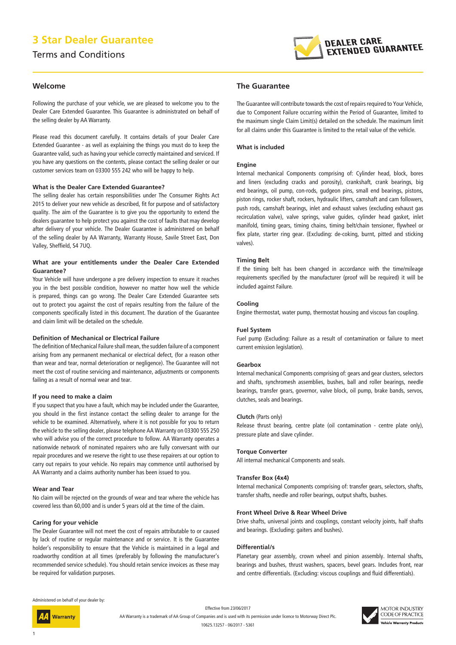# **3 Star Dealer Guarantee**

Terms and Conditions



### **Welcome**

Following the purchase of your vehicle, we are pleased to welcome you to the Dealer Care Extended Guarantee. This Guarantee is administrated on behalf of the selling dealer by AA Warranty.

Please read this document carefully. It contains details of your Dealer Care Extended Guarantee - as well as explaining the things you must do to keep the Guarantee valid, such as having your vehicle correctly maintained and serviced. If you have any questions on the contents, please contact the selling dealer or our customer services team on 03300 555 242 who will be happy to help.

### **What is the Dealer Care Extended Guarantee?**

The selling dealer has certain responsibilities under The Consumer Rights Act 2015 to deliver your new vehicle as described, fit for purpose and of satisfactory quality. The aim of the Guarantee is to give you the opportunity to extend the dealers guarantee to help protect you against the cost of faults that may develop after delivery of your vehicle. The Dealer Guarantee is administered on behalf of the selling dealer by AA Warranty, Warranty House, Savile Street East, Don Valley, Sheffield, S4 7UQ.

### **What are your entitlements under the Dealer Care Extended Guarantee?**

Your Vehicle will have undergone a pre delivery inspection to ensure it reaches you in the best possible condition, however no matter how well the vehicle is prepared, things can go wrong. The Dealer Care Extended Guarantee sets out to protect you against the cost of repairs resulting from the failure of the components specifically listed in this document. The duration of the Guarantee and claim limit will be detailed on the schedule.

### **Definition of Mechanical or Electrical Failure**

The definition of Mechanical Failure shall mean, the sudden failure of a component arising from any permanent mechanical or electrical defect, (for a reason other than wear and tear, normal deterioration or negligence). The Guarantee will not meet the cost of routine servicing and maintenance, adjustments or components failing as a result of normal wear and tear.

#### **If you need to make a claim**

If you suspect that you have a fault, which may be included under the Guarantee, you should in the first instance contact the selling dealer to arrange for the vehicle to be examined. Alternatively, where it is not possible for you to return the vehicle to the selling dealer, please telephone AA Warranty on 03300 555 250 who will advise you of the correct procedure to follow. AA Warranty operates a nationwide network of nominated repairers who are fully conversant with our repair procedures and we reserve the right to use these repairers at our option to carry out repairs to your vehicle. No repairs may commence until authorised by AA Warranty and a claims authority number has been issued to you.

### **Wear and Tear**

No claim will be rejected on the grounds of wear and tear where the vehicle has covered less than 60,000 and is under 5 years old at the time of the claim.

### **Caring for your vehicle**

The Dealer Guarantee will not meet the cost of repairs attributable to or caused by lack of routine or regular maintenance and or service. It is the Guarantee holder's responsibility to ensure that the Vehicle is maintained in a legal and roadworthy condition at all times (preferably by following the manufacturer's recommended service schedule). You should retain service invoices as these may be required for validation purposes.

### **The Guarantee**

The Guarantee will contribute towards the cost of repairs required to Your Vehicle, due to Component Failure occurring within the Period of Guarantee, limited to the maximum single Claim Limit(s) detailed on the schedule. The maximum limit for all claims under this Guarantee is limited to the retail value of the vehicle.

### **What is included**

#### **Engine**

Internal mechanical Components comprising of: Cylinder head, block, bores and liners (excluding cracks and porosity), crankshaft, crank bearings, big end bearings, oil pump, con-rods, gudgeon pins, small end bearings, pistons, piston rings, rocker shaft, rockers, hydraulic lifters, camshaft and cam followers, push rods, camshaft bearings, inlet and exhaust valves (excluding exhaust gas recirculation valve), valve springs, valve guides, cylinder head gasket, inlet manifold, timing gears, timing chains, timing belt/chain tensioner, flywheel or flex plate, starter ring gear. (Excluding: de-coking, burnt, pitted and sticking valves).

#### **Timing Belt**

If the timing belt has been changed in accordance with the time/mileage requirements specified by the manufacturer (proof will be required) it will be included against Failure.

#### **Cooling**

Engine thermostat, water pump, thermostat housing and viscous fan coupling.

#### **Fuel System**

Fuel pump (Excluding: Failure as a result of contamination or failure to meet current emission legislation).

#### **Gearbox**

Internal mechanical Components comprising of: gears and gear clusters, selectors and shafts, synchromesh assemblies, bushes, ball and roller bearings, needle bearings, transfer gears, governor, valve block, oil pump, brake bands, servos, clutches, seals and bearings.

#### **Clutch** (Parts only)

Release thrust bearing, centre plate (oil contamination - centre plate only), pressure plate and slave cylinder.

#### **Torque Converter**

All internal mechanical Components and seals.

#### **Transfer Box (4x4)**

Internal mechanical Components comprising of: transfer gears, selectors, shafts, transfer shafts, needle and roller bearings, output shafts, bushes.

#### **Front Wheel Drive & Rear Wheel Drive**

Drive shafts, universal joints and couplings, constant velocity joints, half shafts and bearings. (Excluding: gaiters and bushes).

### **Differential/s**

Planetary gear assembly, crown wheel and pinion assembly. Internal shafts, bearings and bushes, thrust washers, spacers, bevel gears. Includes front, rear and centre differentials. (Excluding: viscous couplings and fluid differentials).

Administered on behalf of your dealer by:

Warranty

Effective from 23/06/2017 AA Warranty is a trademark of AA Group of Companies and is used with its permission under licence to Motorway Direct Plc. 10625.13257 - 06/2017 - 5361

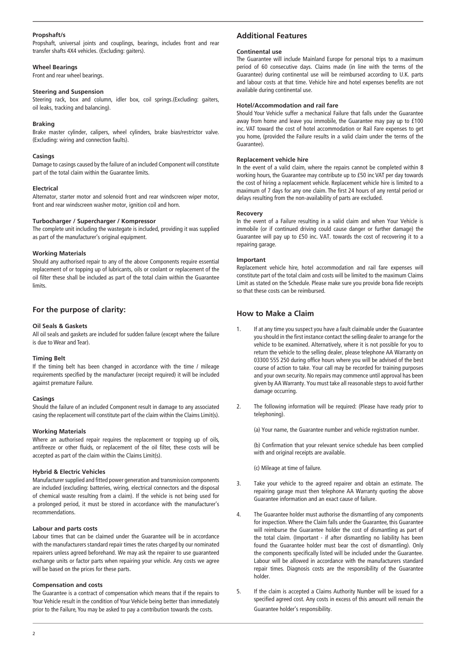### **Propshaft/s**

Propshaft, universal joints and couplings, bearings, includes front and rear transfer shafts 4X4 vehicles. (Excluding: gaiters).

# **Wheel Bearings**

Front and rear wheel bearings.

# **Steering and Suspension**

Steering rack, box and column, idler box, coil springs.(Excluding: gaiters, oil leaks, tracking and balancing).

### **Braking**

Brake master cylinder, calipers, wheel cylinders, brake bias/restrictor valve. (Excluding: wiring and connection faults).

### **Casings**

Damage to casings caused by the failure of an included Component will constitute part of the total claim within the Guarantee limits.

### **Electrical**

Alternator, starter motor and solenoid front and rear windscreen wiper motor, front and rear windscreen washer motor, ignition coil and horn.

### **Turbocharger / Supercharger / Kompressor**

The complete unit including the wastegate is included, providing it was supplied as part of the manufacturer's original equipment.

### **Working Materials**

Should any authorised repair to any of the above Components require essential replacement of or topping up of lubricants, oils or coolant or replacement of the oil filter these shall be included as part of the total claim within the Guarantee limits.

# **For the purpose of clarity:**

### **Oil Seals & Gaskets**

All oil seals and gaskets are included for sudden failure (except where the failure is due to Wear and Tear).

### **Timing Belt**

If the timing belt has been changed in accordance with the time / mileage requirements specified by the manufacturer (receipt required) it will be included against premature Failure.

### **Casings**

Should the failure of an included Component result in damage to any associated casing the replacement will constitute part of the claim within the Claims Limit(s).

### **Working Materials**

Where an authorised repair requires the replacement or topping up of oils, antifreeze or other fluids, or replacement of the oil filter, these costs will be accepted as part of the claim within the Claims Limit(s).

### **Hybrid & Electric Vehicles**

Manufacturer supplied and fitted power generation and transmission components are included (excluding: batteries, wiring, electrical connectors and the disposal of chemical waste resulting from a claim). If the vehicle is not being used for a prolonged period, it must be stored in accordance with the manufacturer's recommendations.

### **Labour and parts costs**

Labour times that can be claimed under the Guarantee will be in accordance with the manufacturers standard repair times the rates charged by our nominated repairers unless agreed beforehand. We may ask the repairer to use guaranteed exchange units or factor parts when repairing your vehicle. Any costs we agree will be based on the prices for these parts.

### **Compensation and costs**

The Guarantee is a contract of compensation which means that if the repairs to Your Vehicle result in the condition of Your Vehicle being better than immediately prior to the Failure, You may be asked to pay a contribution towards the costs.

# **Additional Features**

### **Continental use**

The Guarantee will include Mainland Europe for personal trips to a maximum period of 60 consecutive days. Claims made (in line with the terms of the Guarantee) during continental use will be reimbursed according to U.K. parts and labour costs at that time. Vehicle hire and hotel expenses benefits are not available during continental use.

### **Hotel/Accommodation and rail fare**

Should Your Vehicle suffer a mechanical Failure that falls under the Guarantee away from home and leave you immobile, the Guarantee may pay up to £100 inc. VAT toward the cost of hotel accommodation or Rail Fare expenses to get you home, (provided the Failure results in a valid claim under the terms of the Guarantee).

### **Replacement vehicle hire**

In the event of a valid claim, where the repairs cannot be completed within 8 working hours, the Guarantee may contribute up to £50 inc VAT per day towards the cost of hiring a replacement vehicle. Replacement vehicle hire is limited to a maximum of 7 days for any one claim. The first 24 hours of any rental period or delays resulting from the non-availability of parts are excluded.

### **Recovery**

In the event of a Failure resulting in a valid claim and when Your Vehicle is immobile (or if continued driving could cause danger or further damage) the Guarantee will pay up to £50 inc. VAT. towards the cost of recovering it to a repairing garage.

### **Important**

Replacement vehicle hire, hotel accommodation and rail fare expenses will constitute part of the total claim and costs will be limited to the maximum Claims Limit as stated on the Schedule. Please make sure you provide bona fide receipts so that these costs can be reimbursed.

### **How to Make a Claim**

- 1. If at any time you suspect you have a fault claimable under the Guarantee you should in the first instance contact the selling dealer to arrange for the vehicle to be examined. Alternatively, where it is not possible for you to return the vehicle to the selling dealer, please telephone AA Warranty on 03300 555 250 during office hours where you will be advised of the best course of action to take. Your call may be recorded for training purposes and your own security. No repairs may commence until approval has been given by AA Warranty. You must take all reasonable steps to avoid further damage occurring.
- 2. The following information will be required: (Please have ready prior to telephoning).

(a) Your name, the Guarantee number and vehicle registration number.

(b) Confirmation that your relevant service schedule has been complied with and original receipts are available.

(c) Mileage at time of failure.

- 3. Take your vehicle to the agreed repairer and obtain an estimate. The repairing garage must then telephone AA Warranty quoting the above Guarantee information and an exact cause of failure.
- 4. The Guarantee holder must authorise the dismantling of any components for inspection. Where the Claim falls under the Guarantee, this Guarantee will reimburse the Guarantee holder the cost of dismantling as part of the total claim. (Important - if after dismantling no liability has been found the Guarantee holder must bear the cost of dismantling). Only the components specifically listed will be included under the Guarantee. Labour will be allowed in accordance with the manufacturers standard repair times. Diagnosis costs are the responsibility of the Guarantee holder.
- 5. If the claim is accepted a Claims Authority Number will be issued for a specified agreed cost. Any costs in excess of this amount will remain the Guarantee holder's responsibility.